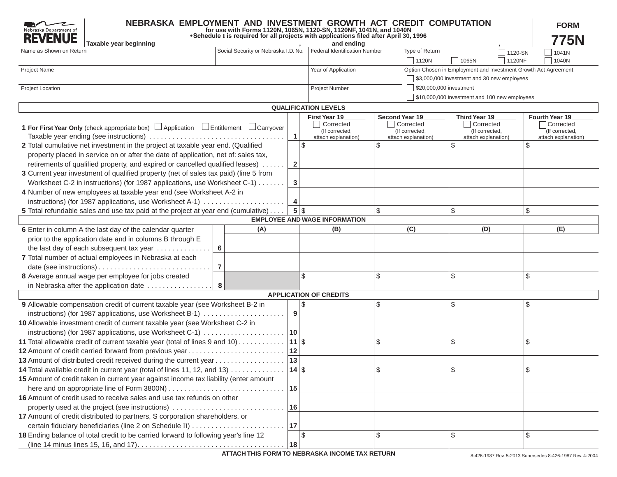| NEBRASKA EMPLOYMENT AND INVESTMENT GROWTH ACT CREDIT COMPUTATION<br>Nebraska Department of<br><b>REVENUE</b><br>Taxable year beginning |                |                                      |              | for use with Forms 1120N, 1065N, 1120-SN, 1120NF, 1041N, and 1040N<br>. Schedule I is required for all projects with applications filed after April 30, 1996<br>and ending |       |                                      |                                               |                 | <b>FORM</b><br>775N                                             |
|----------------------------------------------------------------------------------------------------------------------------------------|----------------|--------------------------------------|--------------|----------------------------------------------------------------------------------------------------------------------------------------------------------------------------|-------|--------------------------------------|-----------------------------------------------|-----------------|-----------------------------------------------------------------|
| Name as Shown on Return                                                                                                                |                | Social Security or Nebraska I.D. No. |              | Federal Identification Number                                                                                                                                              |       | Type of Return                       |                                               | 1120-SN         | 1041N                                                           |
|                                                                                                                                        |                |                                      |              |                                                                                                                                                                            |       | $\sqrt{1120N}$                       | $\Box$ 1065N                                  | $\sqrt{1120NF}$ | 1040N                                                           |
| Project Name                                                                                                                           |                |                                      |              | Year of Application                                                                                                                                                        |       |                                      |                                               |                 | Option Chosen in Employment and Investment Growth Act Agreement |
|                                                                                                                                        |                |                                      |              |                                                                                                                                                                            |       |                                      | \$3,000,000 investment and 30 new employees   |                 |                                                                 |
| Project Location                                                                                                                       |                |                                      |              | Project Number                                                                                                                                                             |       | $\sqrt{\ }}$ \$20,000,000 investment |                                               |                 |                                                                 |
|                                                                                                                                        |                |                                      |              |                                                                                                                                                                            |       |                                      | \$10,000,000 investment and 100 new employees |                 |                                                                 |
|                                                                                                                                        |                |                                      |              | <b>QUALIFICATION LEVELS</b>                                                                                                                                                |       |                                      |                                               |                 |                                                                 |
|                                                                                                                                        |                |                                      |              | <b>First Year 19</b>                                                                                                                                                       |       | Second Year 19                       | Third Year 19                                 |                 | Fourth Year 19                                                  |
|                                                                                                                                        |                |                                      |              | Corrected                                                                                                                                                                  |       | Corrected                            | Corrected                                     |                 | Corrected                                                       |
| 1 For First Year Only (check appropriate box) $\Box$ Application $\Box$ Entitlement $\Box$ Carryover                                   |                |                                      |              | (If corrected,                                                                                                                                                             |       | (If corrected,                       | (If corrected,                                |                 | (If corrected,                                                  |
| Taxable year ending (see instructions)                                                                                                 |                |                                      |              | attach explanation)                                                                                                                                                        |       | attach explanation)                  | attach explanation)                           |                 | attach explanation)<br>\$                                       |
| 2 Total cumulative net investment in the project at taxable year end. (Qualified                                                       |                |                                      |              | $\sqrt{3}$                                                                                                                                                                 | $\$\$ |                                      | $\$\$                                         |                 |                                                                 |
| property placed in service on or after the date of application, net of: sales tax,                                                     |                |                                      |              |                                                                                                                                                                            |       |                                      |                                               |                 |                                                                 |
| retirements of qualified property, and expired or cancelled qualified leases)                                                          |                |                                      | $\mathbf{2}$ |                                                                                                                                                                            |       |                                      |                                               |                 |                                                                 |
| 3 Current year investment of qualified property (net of sales tax paid) (line 5 from                                                   |                |                                      |              |                                                                                                                                                                            |       |                                      |                                               |                 |                                                                 |
| Worksheet C-2 in instructions) (for 1987 applications, use Worksheet C-1)                                                              |                |                                      | 3            |                                                                                                                                                                            |       |                                      |                                               |                 |                                                                 |
| 4 Number of new employees at taxable year end (see Worksheet A-2 in                                                                    |                |                                      |              |                                                                                                                                                                            |       |                                      |                                               |                 |                                                                 |
| instructions) (for 1987 applications, use Worksheet A-1)                                                                               |                |                                      | 4            |                                                                                                                                                                            |       |                                      |                                               |                 |                                                                 |
| 5 Total refundable sales and use tax paid at the project at year end (cumulative)                                                      |                |                                      |              | $5$ \ \$                                                                                                                                                                   | \$    |                                      | \$                                            |                 | \$                                                              |
|                                                                                                                                        |                |                                      |              | <b>EMPLOYEE AND WAGE INFORMATION</b>                                                                                                                                       |       |                                      |                                               |                 |                                                                 |
| 6 Enter in column A the last day of the calendar quarter                                                                               |                | (A)                                  |              | (B)                                                                                                                                                                        |       | (C)                                  | (D)                                           |                 | (E)                                                             |
| prior to the application date and in columns B through E                                                                               |                |                                      |              |                                                                                                                                                                            |       |                                      |                                               |                 |                                                                 |
| the last day of each subsequent tax year                                                                                               | 6              |                                      |              |                                                                                                                                                                            |       |                                      |                                               |                 |                                                                 |
| 7 Total number of actual employees in Nebraska at each                                                                                 |                |                                      |              |                                                                                                                                                                            |       |                                      |                                               |                 |                                                                 |
|                                                                                                                                        | $\overline{7}$ |                                      |              |                                                                                                                                                                            |       |                                      |                                               |                 |                                                                 |
| 8 Average annual wage per employee for jobs created                                                                                    |                |                                      |              | \$                                                                                                                                                                         | \$    |                                      | \$                                            |                 | \$                                                              |
| in Nebraska after the application date                                                                                                 | 8              |                                      |              |                                                                                                                                                                            |       |                                      |                                               |                 |                                                                 |
|                                                                                                                                        |                |                                      |              | <b>APPLICATION OF CREDITS</b>                                                                                                                                              |       |                                      |                                               |                 |                                                                 |
| 9 Allowable compensation credit of current taxable year (see Worksheet B-2 in                                                          |                |                                      |              | \$                                                                                                                                                                         | \$    |                                      | \$                                            |                 | \$                                                              |
| instructions) (for 1987 applications, use Worksheet B-1)                                                                               |                |                                      | 9            |                                                                                                                                                                            |       |                                      |                                               |                 |                                                                 |
| 10 Allowable investment credit of current taxable year (see Worksheet C-2 in                                                           |                |                                      |              |                                                                                                                                                                            |       |                                      |                                               |                 |                                                                 |
| instructions) (for 1987 applications, use Worksheet C-1)                                                                               |                |                                      | $ 10\rangle$ |                                                                                                                                                                            |       |                                      |                                               |                 |                                                                 |
| 11 Total allowable credit of current taxable year (total of lines 9 and 10)                                                            |                |                                      | $11 $ \$     |                                                                                                                                                                            | \$    |                                      | \$                                            |                 | \$                                                              |
| 12 Amount of credit carried forward from previous year                                                                                 |                |                                      | 12           |                                                                                                                                                                            |       |                                      |                                               |                 |                                                                 |
| 13 Amount of distributed credit received during the current year                                                                       |                |                                      | 13           |                                                                                                                                                                            |       |                                      |                                               |                 |                                                                 |
| 14 Total available credit in current year (total of lines 11, 12, and 13)                                                              |                |                                      | $14$ \$      |                                                                                                                                                                            | \$    |                                      | \$                                            |                 | \$                                                              |
| 15 Amount of credit taken in current year against income tax liability (enter amount                                                   |                |                                      |              |                                                                                                                                                                            |       |                                      |                                               |                 |                                                                 |
|                                                                                                                                        |                |                                      | 15           |                                                                                                                                                                            |       |                                      |                                               |                 |                                                                 |
| 16 Amount of credit used to receive sales and use tax refunds on other                                                                 |                |                                      |              |                                                                                                                                                                            |       |                                      |                                               |                 |                                                                 |
| property used at the project (see instructions)                                                                                        |                |                                      | 16           |                                                                                                                                                                            |       |                                      |                                               |                 |                                                                 |
| 17 Amount of credit distributed to partners, S corporation shareholders, or                                                            |                |                                      |              |                                                                                                                                                                            |       |                                      |                                               |                 |                                                                 |
|                                                                                                                                        |                |                                      | 17           |                                                                                                                                                                            |       |                                      |                                               |                 |                                                                 |
| certain fiduciary beneficiaries (line 2 on Schedule II)                                                                                |                |                                      |              |                                                                                                                                                                            |       |                                      |                                               |                 |                                                                 |
| 18 Ending balance of total credit to be carried forward to following year's line 12                                                    |                |                                      |              | $\sqrt{3}$                                                                                                                                                                 | \$    |                                      | \$                                            |                 | \$                                                              |
|                                                                                                                                        |                |                                      | 18           |                                                                                                                                                                            |       |                                      |                                               |                 |                                                                 |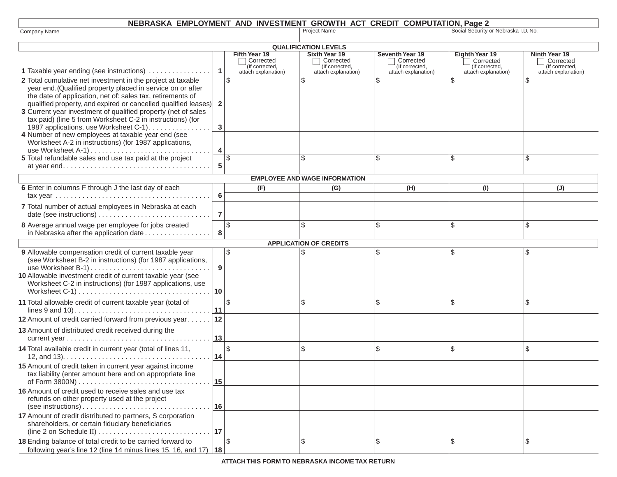# **NEBRASKA EMPLOYMENT AND INVESTMENT GROWTH ACT CREDIT COMPUTATION, Page 2**

 $\mathbf{I}$ 

|                                                                                             |                | ENTED THEN AND INVESTMENT   |                                      | O(10111111)                 |                                      |                             |
|---------------------------------------------------------------------------------------------|----------------|-----------------------------|--------------------------------------|-----------------------------|--------------------------------------|-----------------------------|
| Company Name                                                                                |                |                             | <b>Project Name</b>                  |                             | Social Security or Nebraska I.D. No. |                             |
|                                                                                             |                |                             | <b>QUALIFICATION LEVELS</b>          |                             |                                      |                             |
|                                                                                             |                | Fifth Year 19               | Sixth Year 19                        | Seventh Year 19             | Eighth Year 19                       | Ninth Year 19               |
|                                                                                             |                | Corrected<br>(If corrected, | Corrected<br>(If corrected,          | Corrected<br>(If corrected, | Corrected<br>(If corrected,          | Corrected<br>(If corrected, |
| 1 Taxable year ending (see instructions)                                                    | $\mathbf{1}$   | attach explanation)         | attach explanation)                  | attach explanation)         | attach explanation)                  | attach explanation)         |
| 2 Total cumulative net investment in the project at taxable                                 |                | \$                          | \$                                   | \$                          | \$                                   | $\mathcal{S}$               |
| year end. (Qualified property placed in service on or after                                 |                |                             |                                      |                             |                                      |                             |
| the date of application, net of: sales tax, retirements of                                  |                |                             |                                      |                             |                                      |                             |
| qualified property, and expired or cancelled qualified leases)                              | $\mathbf{2}$   |                             |                                      |                             |                                      |                             |
| 3 Current year investment of qualified property (net of sales                               |                |                             |                                      |                             |                                      |                             |
| tax paid) (line 5 from Worksheet C-2 in instructions) (for                                  |                |                             |                                      |                             |                                      |                             |
| 1987 applications, use Worksheet C-1)                                                       | 3              |                             |                                      |                             |                                      |                             |
| 4 Number of new employees at taxable year end (see                                          |                |                             |                                      |                             |                                      |                             |
| Worksheet A-2 in instructions) (for 1987 applications,                                      |                |                             |                                      |                             |                                      |                             |
|                                                                                             | 4              |                             |                                      |                             |                                      |                             |
| 5 Total refundable sales and use tax paid at the project                                    |                | \$                          | \$                                   | ß.                          | \$                                   | S                           |
|                                                                                             | 5              |                             |                                      |                             |                                      |                             |
|                                                                                             |                |                             | <b>EMPLOYEE AND WAGE INFORMATION</b> |                             |                                      |                             |
| 6 Enter in columns F through J the last day of each                                         |                | (F)                         | (G)                                  | (H)                         | (1)                                  | $(\mathsf{U})$              |
| tax vear $\ldots \ldots \ldots \ldots \ldots \ldots \ldots \ldots \ldots \ldots \ldots$     | 6              |                             |                                      |                             |                                      |                             |
| 7 Total number of actual employees in Nebraska at each                                      |                |                             |                                      |                             |                                      |                             |
|                                                                                             | $\overline{7}$ |                             |                                      |                             |                                      |                             |
| 8 Average annual wage per employee for jobs created                                         |                | \$                          | \$                                   | \$                          | \$                                   | \$                          |
| in Nebraska after the application date                                                      | 8              |                             |                                      |                             |                                      |                             |
|                                                                                             |                |                             | <b>APPLICATION OF CREDITS</b>        |                             |                                      |                             |
| 9 Allowable compensation credit of current taxable year                                     |                | $\sqrt{3}$                  |                                      | \$                          | \$                                   | \$                          |
| (see Worksheet B-2 in instructions) (for 1987 applications,                                 |                |                             |                                      |                             |                                      |                             |
| use Worksheet B-1)                                                                          | 9              |                             |                                      |                             |                                      |                             |
| 10 Allowable investment credit of current taxable year (see                                 |                |                             |                                      |                             |                                      |                             |
| Worksheet C-2 in instructions) (for 1987 applications, use                                  |                |                             |                                      |                             |                                      |                             |
|                                                                                             | 10             |                             |                                      |                             |                                      |                             |
| 11 Total allowable credit of current taxable year (total of                                 |                | \$                          | \$                                   | \$                          | \$                                   | \$                          |
|                                                                                             | 11             |                             |                                      |                             |                                      |                             |
| 12 Amount of credit carried forward from previous year                                      | 12             |                             |                                      |                             |                                      |                             |
|                                                                                             |                |                             |                                      |                             |                                      |                             |
| 13 Amount of distributed credit received during the                                         | 13             |                             |                                      |                             |                                      |                             |
|                                                                                             |                |                             |                                      |                             |                                      |                             |
| 14 Total available credit in current year (total of lines 11,                               |                | \$                          | \$                                   | \$                          | \$                                   | \$                          |
| 12, and 13). $\ldots \ldots \ldots \ldots \ldots \ldots \ldots \ldots \ldots \ldots \ldots$ | 14             |                             |                                      |                             |                                      |                             |
| 15 Amount of credit taken in current year against income                                    |                |                             |                                      |                             |                                      |                             |
| tax liability (enter amount here and on appropriate line                                    |                |                             |                                      |                             |                                      |                             |
|                                                                                             | 15             |                             |                                      |                             |                                      |                             |
| 16 Amount of credit used to receive sales and use tax                                       |                |                             |                                      |                             |                                      |                             |
| refunds on other property used at the project                                               |                |                             |                                      |                             |                                      |                             |
| $(see$ instructions $)$                                                                     | 16             |                             |                                      |                             |                                      |                             |
| 17 Amount of credit distributed to partners, S corporation                                  |                |                             |                                      |                             |                                      |                             |
| shareholders, or certain fiduciary beneficiaries                                            |                |                             |                                      |                             |                                      |                             |
|                                                                                             |                |                             |                                      |                             |                                      |                             |
| 18 Ending balance of total credit to be carried forward to                                  |                | $\sqrt{2}$                  | \$                                   | \$                          | \$                                   | \$                          |
| following year's line 12 (line 14 minus lines 15, 16, and 17) $ 18 \rangle$                 |                |                             |                                      |                             |                                      |                             |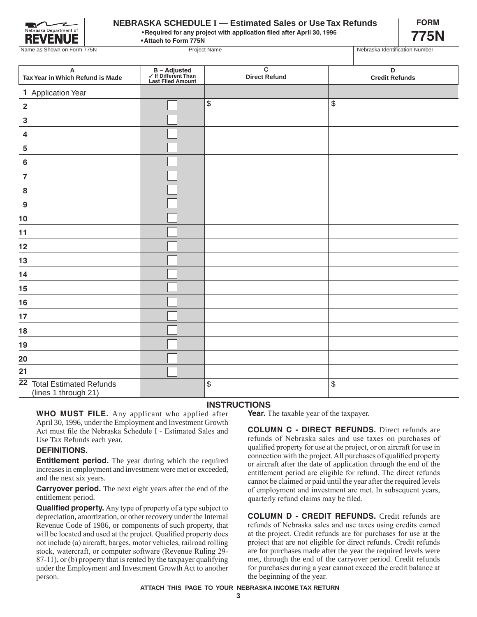

## **NEBRASKA SCHEDULE I — Estimated Sales or Use Tax Refunds**

**• Required for any project with application filed after April 30, 1996**

**• Attach to Form 775N**



|  | Required for any project with application filed after April 30, 1996 |  |
|--|----------------------------------------------------------------------|--|
|  |                                                                      |  |

| Name as Shown on Form 775N                                    |                                                          | <b>Project Name</b>                    | Nebraska Identification Number |
|---------------------------------------------------------------|----------------------------------------------------------|----------------------------------------|--------------------------------|
|                                                               |                                                          |                                        |                                |
| $\boldsymbol{\mathsf{A}}$<br>Tax Year in Which Refund is Made | B – Adjusted<br>✓ If Different Than<br>Last Filed Amount | $\overline{c}$<br><b>Direct Refund</b> | D<br><b>Credit Refunds</b>     |
| 1 Application Year                                            |                                                          |                                        |                                |
| $\overline{\mathbf{2}}$                                       |                                                          | \$                                     | \$                             |
| $\mathbf 3$                                                   |                                                          |                                        |                                |
| $\overline{\mathbf{4}}$                                       |                                                          |                                        |                                |
| ${\bf 5}$                                                     |                                                          |                                        |                                |
| $\bf 6$                                                       |                                                          |                                        |                                |
| $\overline{7}$                                                |                                                          |                                        |                                |
| $\boldsymbol{8}$                                              |                                                          |                                        |                                |
| $\overline{9}$                                                |                                                          |                                        |                                |
| 10                                                            |                                                          |                                        |                                |
| 11                                                            |                                                          |                                        |                                |
| 12                                                            |                                                          |                                        |                                |
| 13                                                            |                                                          |                                        |                                |
| 14                                                            |                                                          |                                        |                                |
| 15                                                            |                                                          |                                        |                                |
| 16                                                            |                                                          |                                        |                                |
| 17                                                            |                                                          |                                        |                                |
| 18                                                            |                                                          |                                        |                                |
| 19                                                            |                                                          |                                        |                                |
| 20                                                            |                                                          |                                        |                                |
| 21                                                            |                                                          |                                        |                                |
| 22 Total Estimated Refunds<br>(lines 1 through 21)            |                                                          | \$                                     | \$                             |

### **INSTRUCTIONS**

**WHO MUST FILE.** Any applicant who applied after April 30, 1996, under the Employment and Investment Growth Act must file the Nebraska Schedule I - Estimated Sales and Use Tax Refunds each year.

### **DEFINITIONS.**

**Entitlement period.** The year during which the required increases in employment and investment were met or exceeded, and the next six years.

**Carryover period.** The next eight years after the end of the entitlement period.

**Qualified property.** Any type of property of a type subject to depreciation, amortization, or other recovery under the Internal Revenue Code of 1986, or components of such property, that will be located and used at the project. Qualified property does not include (a) aircraft, barges, motor vehicles, railroad rolling stock, watercraft, or computer software (Revenue Ruling 29- 87-11), or (b) property that is rented by the taxpayer qualifying under the Employment and Investment Growth Act to another person.

**Year.** The taxable year of the taxpayer.

**COLUMN C - DIRECT REFUNDS.** Direct refunds are refunds of Nebraska sales and use taxes on purchases of qualified property for use at the project, or on aircraft for use in connection with the project. All purchases of qualified property or aircraft after the date of application through the end of the entitlement period are eligible for refund. The direct refunds cannot be claimed or paid until the year after the required levels of employment and investment are met. In subsequent years, quarterly refund claims may be filed.

**COLUMN D - CREDIT REFUNDS.** Credit refunds are refunds of Nebraska sales and use taxes using credits earned at the project. Credit refunds are for purchases for use at the project that are not eligible for direct refunds. Credit refunds are for purchases made after the year the required levels were met, through the end of the carryover period. Credit refunds for purchases during a year cannot exceed the credit balance at the beginning of the year.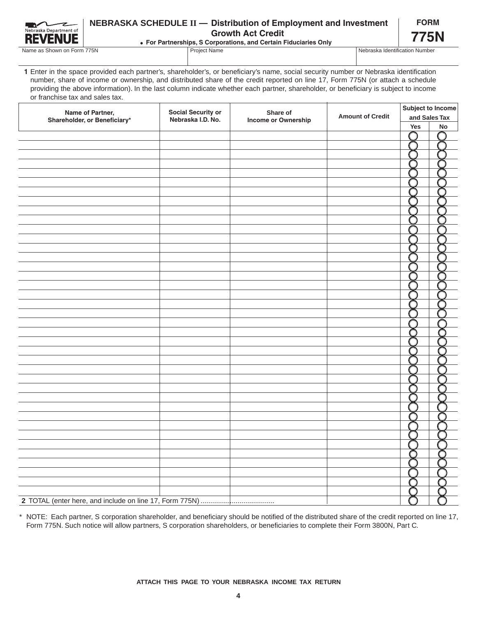| Nebraska Department of |
|------------------------|
| E                      |

# **NEBRASKA SCHEDULE II — Distribution of Employment and Investment Growth Act Credit**

**FORM 775N**

Name as Shown on Form 775N Project Name Nebraska Identification Number

**For Partnerships, S Corporations, and Certain Fiduciaries Only**

**1** Enter in the space provided each partner's, shareholder's, or beneficiary's name, social security number or Nebraska identification number, share of income or ownership, and distributed share of the credit reported on line 17, Form 775N (or attach a schedule providing the above information). In the last column indicate whether each partner, shareholder, or beneficiary is subject to income or franchise tax and sales tax.

| Name of Partner,             | <b>Social Security or</b> | Share of            |                         | Subject to Income |               |  |
|------------------------------|---------------------------|---------------------|-------------------------|-------------------|---------------|--|
| Shareholder, or Beneficiary* | Nebraska I.D. No.         | Income or Ownership | <b>Amount of Credit</b> |                   | and Sales Tax |  |
|                              |                           |                     |                         | Yes               | No            |  |
|                              |                           |                     |                         |                   |               |  |
|                              |                           |                     |                         |                   |               |  |
|                              |                           |                     |                         |                   |               |  |
|                              |                           |                     |                         |                   |               |  |
|                              |                           |                     |                         |                   |               |  |
|                              |                           |                     |                         |                   |               |  |
|                              |                           |                     |                         |                   |               |  |
|                              |                           |                     |                         |                   |               |  |
|                              |                           |                     |                         |                   |               |  |
|                              |                           |                     |                         |                   |               |  |
|                              |                           |                     |                         |                   |               |  |
|                              |                           |                     |                         |                   |               |  |
|                              |                           |                     |                         |                   |               |  |
|                              |                           |                     |                         |                   |               |  |
|                              |                           |                     |                         |                   |               |  |
|                              |                           |                     |                         |                   |               |  |
|                              |                           |                     |                         |                   |               |  |
|                              |                           |                     |                         |                   |               |  |
|                              |                           |                     |                         |                   |               |  |
|                              |                           |                     |                         |                   |               |  |
|                              |                           |                     |                         |                   |               |  |
|                              |                           |                     |                         |                   |               |  |
|                              |                           |                     |                         |                   |               |  |
|                              |                           |                     |                         |                   |               |  |
|                              |                           |                     |                         |                   |               |  |
|                              |                           |                     |                         |                   |               |  |
|                              |                           |                     |                         |                   |               |  |
|                              |                           |                     |                         |                   |               |  |
|                              |                           |                     |                         |                   |               |  |
|                              |                           |                     |                         |                   |               |  |
|                              |                           |                     |                         |                   |               |  |
|                              |                           |                     |                         |                   |               |  |
|                              |                           |                     |                         |                   |               |  |
|                              |                           |                     |                         |                   |               |  |
|                              |                           |                     |                         |                   |               |  |
|                              |                           |                     |                         |                   |               |  |
|                              |                           |                     |                         |                   |               |  |
|                              |                           |                     |                         |                   |               |  |
|                              |                           |                     |                         |                   |               |  |
|                              |                           |                     |                         |                   |               |  |
|                              |                           |                     |                         |                   |               |  |

\* NOTE: Each partner, S corporation shareholder, and beneficiary should be notified of the distributed share of the credit reported on line 17, Form 775N. Such notice will allow partners, S corporation shareholders, or beneficiaries to complete their Form 3800N, Part C.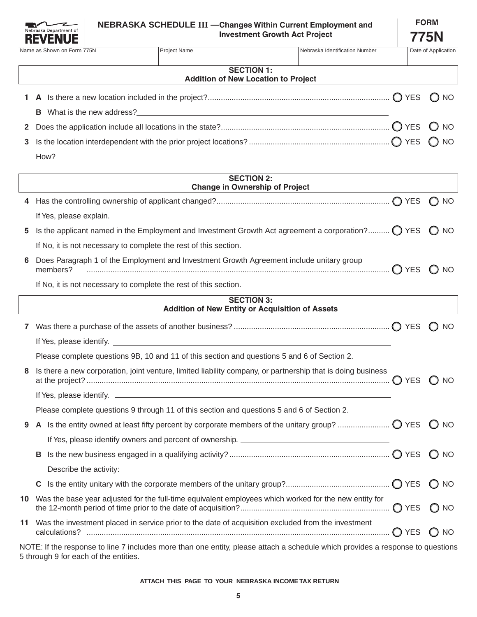

|             | Name as Shown on Form 775N | Project Name                                                                                                                                                                                                                   | Nebraska Identification Number |  | Date of Application |
|-------------|----------------------------|--------------------------------------------------------------------------------------------------------------------------------------------------------------------------------------------------------------------------------|--------------------------------|--|---------------------|
|             |                            |                                                                                                                                                                                                                                |                                |  |                     |
|             |                            |                                                                                                                                                                                                                                |                                |  |                     |
|             |                            | <b>SECTION 1:</b>                                                                                                                                                                                                              |                                |  |                     |
|             |                            | <b>Addition of New Location to Project</b>                                                                                                                                                                                     |                                |  |                     |
|             |                            |                                                                                                                                                                                                                                |                                |  |                     |
| 1           |                            |                                                                                                                                                                                                                                |                                |  |                     |
|             |                            |                                                                                                                                                                                                                                |                                |  |                     |
|             | в.                         | What is the new address? Notified the state of the state of the state of the state of the state of the state of the state of the state of the state of the state of the state of the state of the state of the state of the st |                                |  |                     |
|             |                            |                                                                                                                                                                                                                                |                                |  |                     |
| $2^{\circ}$ |                            |                                                                                                                                                                                                                                |                                |  |                     |
|             |                            |                                                                                                                                                                                                                                |                                |  |                     |
|             |                            |                                                                                                                                                                                                                                |                                |  |                     |
|             |                            |                                                                                                                                                                                                                                |                                |  |                     |

How?

|     | <b>SECTION 2:</b><br><b>Change in Ownership of Project</b>                                                                                                              |                 |
|-----|-------------------------------------------------------------------------------------------------------------------------------------------------------------------------|-----------------|
|     |                                                                                                                                                                         | $\bigcap$ NO    |
|     |                                                                                                                                                                         |                 |
| 5   | Is the applicant named in the Employment and Investment Growth Act agreement a corporation? $\bigcirc$ YES                                                              | $\bigcap$ NO    |
|     | If No, it is not necessary to complete the rest of this section.                                                                                                        |                 |
| 6   | Does Paragraph 1 of the Employment and Investment Growth Agreement include unitary group<br>members?                                                                    | $O$ NO          |
|     | If No, it is not necessary to complete the rest of this section.                                                                                                        |                 |
|     | <b>SECTION 3:</b><br>Addition of New Entity or Acquisition of Assets                                                                                                    |                 |
|     |                                                                                                                                                                         |                 |
|     |                                                                                                                                                                         | $\bigcap$ NO    |
|     |                                                                                                                                                                         |                 |
|     | Please complete questions 9B, 10 and 11 of this section and questions 5 and 6 of Section 2.                                                                             |                 |
| 8   | Is there a new corporation, joint venture, limited liability company, or partnership that is doing business                                                             | $\bigcap$ NO    |
|     |                                                                                                                                                                         |                 |
|     | Please complete questions 9 through 11 of this section and questions 5 and 6 of Section 2.                                                                              |                 |
| 9   |                                                                                                                                                                         | O <sub>NO</sub> |
|     |                                                                                                                                                                         |                 |
|     |                                                                                                                                                                         | () NO           |
|     | Describe the activity:                                                                                                                                                  |                 |
|     |                                                                                                                                                                         | $\bigcap$ NO    |
| 10  | Was the base year adjusted for the full-time equivalent employees which worked for the new entity for                                                                   | (C) NO          |
| 11. | Was the investment placed in service prior to the date of acquisition excluded from the investment                                                                      | $\bigcap$ NO    |
|     | NOTE: If the response to line 7 includes more than one entity, please attach a schedule which provides a response to questions<br>5 through 9 for each of the entities. |                 |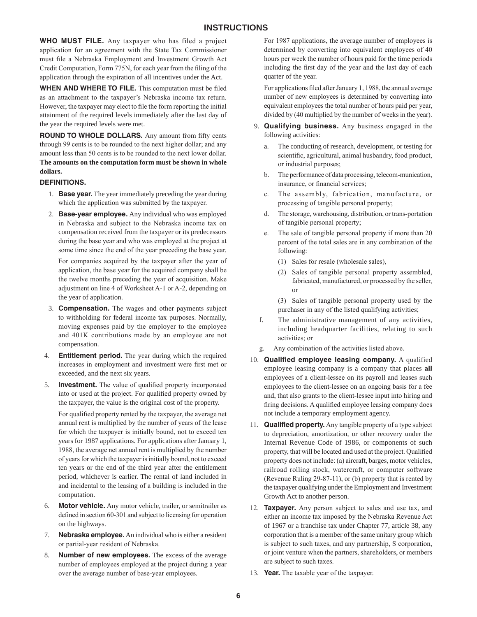### **INSTRUCTIONS**

**WHO MUST FILE.** Any taxpayer who has filed a project application for an agreement with the State Tax Commissioner must file a Nebraska Employment and Investment Growth Act Credit Computation, Form 775N, for each year from the filing of the application through the expiration of all incentives under the Act.

**WHEN AND WHERE TO FILE.** This computation must be filed as an attachment to the taxpayer's Nebraska income tax return. However, the taxpayer may elect to file the form reporting the initial attainment of the required levels immediately after the last day of the year the required levels were met.

**ROUND TO WHOLE DOLLARS.** Any amount from fifty cents through 99 cents is to be rounded to the next higher dollar; and any amount less than 50 cents is to be rounded to the next lower dollar. **The amounts on the computation form must be shown in whole dollars.**

#### **DEFINITIONS.**

- 1. **Base year.** The year immediately preceding the year during which the application was submitted by the taxpayer.
- 2. **Base-year employee.** Any individual who was employed in Nebraska and subject to the Nebraska income tax on compensation received from the taxpayer or its predecessors during the base year and who was employed at the project at some time since the end of the year preceding the base year.

For companies acquired by the taxpayer after the year of application, the base year for the acquired company shall be the twelve months preceding the year of acquisition. Make adjustment on line 4 of Worksheet A-1 or A-2, depending on the year of application.

- 3. **Compensation.** The wages and other payments subject to withholding for federal income tax purposes. Normally, moving expenses paid by the employer to the employee and 401K contributions made by an employee are not compensation.
- 4. **Entitlement period.** The year during which the required increases in employment and investment were first met or exceeded, and the next six years.
- 5. **Investment.** The value of qualified property incorporated into or used at the project. For qualified property owned by the taxpayer, the value is the original cost of the property.

For qualified property rented by the taxpayer, the average net annual rent is multiplied by the number of years of the lease for which the taxpayer is initially bound, not to exceed ten years for 1987 applications. For applications after January 1, 1988, the average net annual rent is multiplied by the number of years for which the taxpayer is initially bound, not to exceed ten years or the end of the third year after the entitlement period, whichever is earlier. The rental of land included in and incidental to the leasing of a building is included in the computation.

- 6. **Motor vehicle.** Any motor vehicle, trailer, or semitrailer as defined in section 60-301 and subject to licensing for operation on the highways.
- 7. **Nebraska employee.** An individual who is either a resident or partial-year resident of Nebraska.
- 8. **Number of new employees.** The excess of the average number of employees employed at the project during a year over the average number of base-year employees.

For 1987 applications, the average number of employees is determined by converting into equivalent employees of 40 hours per week the number of hours paid for the time periods including the first day of the year and the last day of each quarter of the year.

For applications filed after January 1, 1988, the annual average number of new employees is determined by converting into equivalent employees the total number of hours paid per year, divided by (40 multiplied by the number of weeks in the year).

- 9. **Qualifying business.** Any business engaged in the following activities:
	- a. The conducting of research, development, or testing for scientific, agricultural, animal husbandry, food product, or industrial purposes;
	- b. The performance of data processing, telecom-munication, insurance, or financial services;
	- c. The assembly, fabrication, manufacture, or processing of tangible personal property;
	- d. The storage, warehousing, distribution, or trans-portation of tangible personal property;
	- e. The sale of tangible personal property if more than 20 percent of the total sales are in any combination of the following:
		- (1) Sales for resale (wholesale sales),
		- (2) Sales of tangible personal property assembled, fabricated, manufactured, or processed by the seller, or
		- (3) Sales of tangible personal property used by the purchaser in any of the listed qualifying activities;
	- f. The administrative management of any activities, including headquarter facilities, relating to such activities; or
	- g. Any combination of the activities listed above.
- 10. **Qualified employee leasing company.** A qualified employee leasing company is a company that places **all**  employees of a client-lessee on its payroll and leases such employees to the client-lessee on an ongoing basis for a fee and, that also grants to the client-lessee input into hiring and firing decisions. A qualified employee leasing company does not include a temporary employment agency.
- 11. **Qualified property.** Any tangible property of a type subject to depreciation, amortization, or other recovery under the Internal Revenue Code of 1986, or components of such property, that will be located and used at the project. Qualified property does not include: (a) aircraft, barges, motor vehicles, railroad rolling stock, watercraft, or computer software (Revenue Ruling 29-87-11), or (b) property that is rented by the taxpayer qualifying under the Employment and Investment Growth Act to another person.
- 12. **Taxpayer.** Any person subject to sales and use tax, and either an income tax imposed by the Nebraska Revenue Act of 1967 or a franchise tax under Chapter 77, article 38, any corporation that is a member of the same unitary group which is subject to such taxes, and any partnership, S corporation, or joint venture when the partners, shareholders, or members are subject to such taxes.
- 13. **Year.** The taxable year of the taxpayer.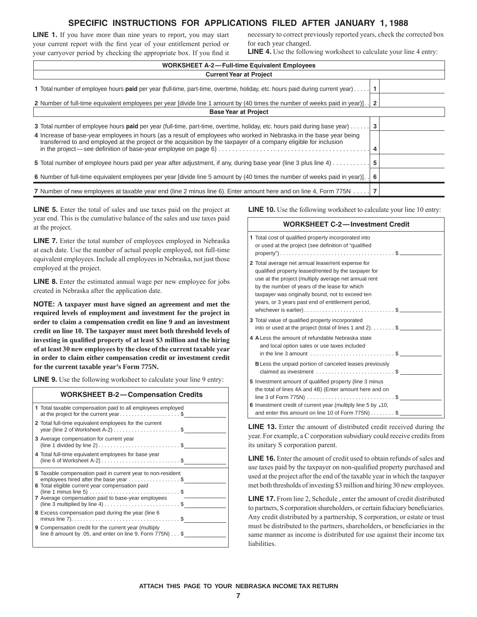# **SPECIFIC INSTRUCTIONS FOR APPLICATIONS FILED AFTER JANUARY 1, 1988**

**LINE 1.** If you have more than nine years to report, you may start your current report with the first year of your entitlement period or your carryover period by checking the appropriate box. If you find it necessary to correct previously reported years, check the corrected box for each year changed.

**LINE 4.** Use the following worksheet to calculate your line 4 entry:

| <b>WORKSHEET A-2-Full-time Equivalent Employees</b>                                                                                                                                                                                     |   |  |  |  |  |  |  |
|-----------------------------------------------------------------------------------------------------------------------------------------------------------------------------------------------------------------------------------------|---|--|--|--|--|--|--|
| <b>Current Year at Project</b>                                                                                                                                                                                                          |   |  |  |  |  |  |  |
| 1 Total number of employee hours paid per year (full-time, part-time, overtime, holiday, etc. hours paid during current year)                                                                                                           |   |  |  |  |  |  |  |
| 2. Number of full-time equivalent employees per year [divide line 1 amount by (40 times the number of weeks paid in year)]. [2                                                                                                          |   |  |  |  |  |  |  |
| <b>Base Year at Project</b>                                                                                                                                                                                                             |   |  |  |  |  |  |  |
| 3 Total number of employee hours paid per year (full-time, part-time, overtime, holiday, etc. hours paid during base year)                                                                                                              | 3 |  |  |  |  |  |  |
| 4 Increase of base-year employees in hours (as a result of employees who worked in Nebraska in the base year being<br>transferred to and employed at the project or the acquisition by the taxpayer of a company eligible for inclusion |   |  |  |  |  |  |  |
| 5 Total number of employee hours paid per year after adjustment, if any, during base year (line 3 plus line 4)                                                                                                                          |   |  |  |  |  |  |  |
| 6 Number of full-time equivalent employees per year [divide line 5 amount by (40 times the number of weeks paid in year)                                                                                                                | 6 |  |  |  |  |  |  |
| 7 Number of new employees at taxable year end (line 2 minus line 6). Enter amount here and on line 4, Form 775N   7                                                                                                                     |   |  |  |  |  |  |  |

**LINE 5.** Enter the total of sales and use taxes paid on the project at year end. This is the cumulative balance of the sales and use taxes paid at the project.

**LINE 7.** Enter the total number of employees employed in Nebraska at each date. Use the number of actual people employed, not full-time equivalent employees. Include all employees in Nebraska, not just those employed at the project.

**LINE 8.** Enter the estimated annual wage per new employee for jobs created in Nebraska after the application date.

**NOTE: A taxpayer must have signed an agreement and met the required levels of employment and investment for the project in order to claim a compensation credit on line 9 and an investment credit on line 10. The taxpayer must meet both threshold levels of investing in qualified property of at least \$3 million and the hiring of at least 30 new employees by the close of the current taxable year in order to claim either compensation credit or investment credit for the current taxable year's Form 775N.**

**LINE 9.** Use the following worksheet to calculate your line 9 entry:

| <b>WORKSHEET B-2-Compensation Credits</b>                                                                                                                                                                                                                                                         |
|---------------------------------------------------------------------------------------------------------------------------------------------------------------------------------------------------------------------------------------------------------------------------------------------------|
| 1 Total taxable compensation paid to all employees employed<br>at the project for the current year\$                                                                                                                                                                                              |
| 2 Total full-time equivalent employees for the current<br>year (line 2 of Worksheet A-2) $\ldots \ldots \ldots \ldots \ldots \ldots$ \$                                                                                                                                                           |
| 3 Average compensation for current year<br>(line 1 divided by line 2) $\dots \dots \dots \dots \dots \dots \dots \dots \$                                                                                                                                                                         |
| 4 Total full-time equivalent employees for base year<br>(line 6 of Worksheet A-2) $\dots \dots \dots \dots \dots \dots \dots \dots$                                                                                                                                                               |
| 5 Taxable compensation paid in current year to non-resident<br>employees hired after the base year \$<br>6 Total eligible current year compensation paid<br>7 Average compensation paid to base-year employees<br>(line 3 multiplied by line 4) $\dots \dots \dots \dots \dots \dots \dots \dots$ |
| 8 Excess compensation paid during the year (line 6                                                                                                                                                                                                                                                |
| <b>9</b> Compensation credit for the current year (multiply<br>line 8 amount by .05, and enter on line 9, Form $775N$ \$                                                                                                                                                                          |

**LINE 10.** Use the following worksheet to calculate your line 10 entry:

| <b>WORKSHEET C-2-Investment Credit</b>                                                                                                                                                                                                                                                                                                                 |
|--------------------------------------------------------------------------------------------------------------------------------------------------------------------------------------------------------------------------------------------------------------------------------------------------------------------------------------------------------|
| 1 Total cost of qualified property incorporated into<br>or used at the project (see definition of "qualified"                                                                                                                                                                                                                                          |
| 2 Total average net annual lease/rent expense for<br>qualified property leased/rented by the taxpayer for<br>use at the project (multiply average net annual rent<br>by the number of years of the lease for which<br>taxpayer was originally bound, not to exceed ten<br>years, or 3 years past end of entitlement period,<br>whichever is earlier)\$ |
| 3 Total value of qualified property incorporated<br>into or used at the project (total of lines 1 and 2) $\frac{1}{2}$                                                                                                                                                                                                                                 |
| 4 A Less the amount of refundable Nebraska state<br>and local option sales or use taxes included<br>in the line 3 amount $\dots \dots \dots \dots \dots \dots \dots \dots$                                                                                                                                                                             |
| <b>B</b> Less the unpaid portion of canceled leases previously<br>claimed as investment \$                                                                                                                                                                                                                                                             |
| 5 Investment amount of qualified property (line 3 minus<br>the total of lines 4A and 4B) (Enter amount here and on<br>line 3 of Form 775N) $\ldots$ \$                                                                                                                                                                                                 |
| 6 Investment credit of current year (multiply line 5 by .10,<br>and enter this amount on line 10 of Form $775N$ ) \$                                                                                                                                                                                                                                   |

**LINE 13.** Enter the amount of distributed credit received during the year. For example, a C corporation subsidiary could receive credits from its unitary S corporation parent.

**LINE 16.** Enter the amount of credit used to obtain refunds of sales and use taxes paid by the taxpayer on non-qualified property purchased and used at the project after the end of the taxable year in which the taxpayer met both thresholds of investing \$3 million and hiring 30 new employees.

**LINE 17.** From line 2, Schedule , enter the amount of credit distributed to partners, S corporation shareholders, or certain fiduciary beneficiaries. Any credit distributed by a partnership, S corporation, or estate or trust must be distributed to the partners, shareholders, or beneficiaries in the same manner as income is distributed for use against their income tax liabilities.